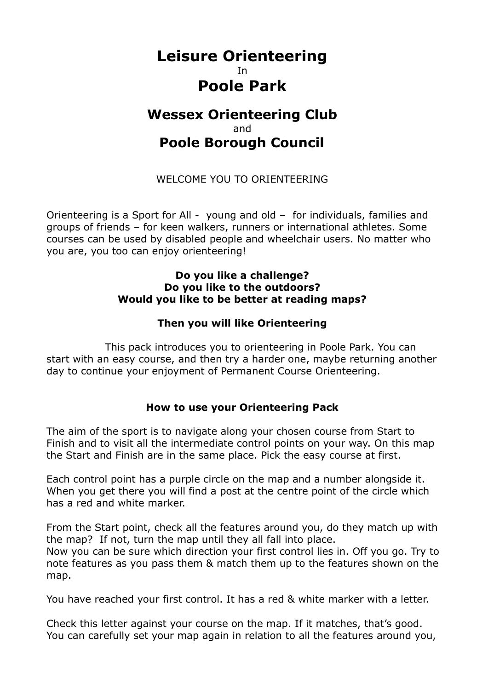# **Leisure Orienteering** In **Poole Park**

# **Wessex Orienteering Club** and **Poole Borough Council**

## WELCOME YOU TO ORIENTEERING

Orienteering is a Sport for All - young and old – for individuals, families and groups of friends – for keen walkers, runners or international athletes. Some courses can be used by disabled people and wheelchair users. No matter who you are, you too can enjoy orienteering!

#### **Do you like a challenge? Do you like to the outdoors? Would you like to be better at reading maps?**

## **Then you will like Orienteering**

 This pack introduces you to orienteering in Poole Park. You can start with an easy course, and then try a harder one, maybe returning another day to continue your enjoyment of Permanent Course Orienteering.

### **How to use your Orienteering Pack**

The aim of the sport is to navigate along your chosen course from Start to Finish and to visit all the intermediate control points on your way. On this map the Start and Finish are in the same place. Pick the easy course at first.

Each control point has a purple circle on the map and a number alongside it. When you get there you will find a post at the centre point of the circle which has a red and white marker.

From the Start point, check all the features around you, do they match up with the map? If not, turn the map until they all fall into place. Now you can be sure which direction your first control lies in. Off you go. Try to note features as you pass them & match them up to the features shown on the map.

You have reached your first control. It has a red & white marker with a letter.

Check this letter against your course on the map. If it matches, that's good. You can carefully set your map again in relation to all the features around you,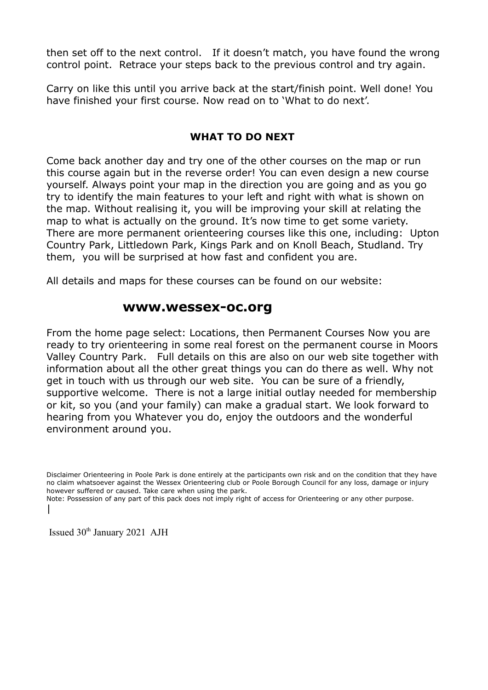then set off to the next control. If it doesn't match, you have found the wrong control point. Retrace your steps back to the previous control and try again.

Carry on like this until you arrive back at the start/finish point. Well done! You have finished your first course. Now read on to 'What to do next'.

## **WHAT TO DO NEXT**

Come back another day and try one of the other courses on the map or run this course again but in the reverse order! You can even design a new course yourself. Always point your map in the direction you are going and as you go try to identify the main features to your left and right with what is shown on the map. Without realising it, you will be improving your skill at relating the map to what is actually on the ground. It's now time to get some variety. There are more permanent orienteering courses like this one, including: Upton Country Park, Littledown Park, Kings Park and on Knoll Beach, Studland. Try them, you will be surprised at how fast and confident you are.

All details and maps for these courses can be found on our website:

# **www.wessex-oc.org**

From the home page select: Locations, then Permanent Courses Now you are ready to try orienteering in some real forest on the permanent course in Moors Valley Country Park. Full details on this are also on our web site together with information about all the other great things you can do there as well. Why not get in touch with us through our web site. You can be sure of a friendly, supportive welcome. There is not a large initial outlay needed for membership or kit, so you (and your family) can make a gradual start. We look forward to hearing from you Whatever you do, enjoy the outdoors and the wonderful environment around you.

Note: Possession of any part of this pack does not imply right of access for Orienteering or any other purpose. |

Issued 30<sup>th</sup> January 2021 AJH

Disclaimer Orienteering in Poole Park is done entirely at the participants own risk and on the condition that they have no claim whatsoever against the Wessex Orienteering club or Poole Borough Council for any loss, damage or injury however suffered or caused. Take care when using the park.